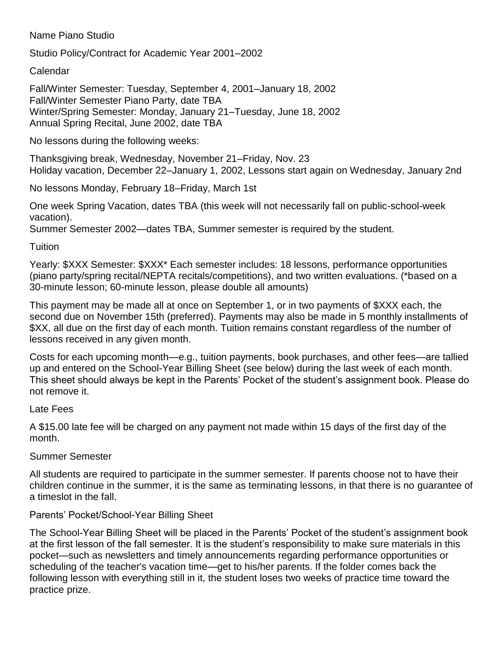## Name Piano Studio

Studio Policy/Contract for Academic Year 2001–2002

## Calendar

Fall/Winter Semester: Tuesday, September 4, 2001–January 18, 2002 Fall/Winter Semester Piano Party, date TBA Winter/Spring Semester: Monday, January 21–Tuesday, June 18, 2002 Annual Spring Recital, June 2002, date TBA

No lessons during the following weeks:

Thanksgiving break, Wednesday, November 21–Friday, Nov. 23 Holiday vacation, December 22–January 1, 2002, Lessons start again on Wednesday, January 2nd

No lessons Monday, February 18–Friday, March 1st

One week Spring Vacation, dates TBA (this week will not necessarily fall on public-school-week vacation).

Summer Semester 2002—dates TBA, Summer semester is required by the student.

# Tuition

Yearly: \$XXX Semester: \$XXX\* Each semester includes: 18 lessons, performance opportunities (piano party/spring recital/NEPTA recitals/competitions), and two written evaluations. (\*based on a 30-minute lesson; 60-minute lesson, please double all amounts)

This payment may be made all at once on September 1, or in two payments of \$XXX each, the second due on November 15th (preferred). Payments may also be made in 5 monthly installments of \$XX, all due on the first day of each month. Tuition remains constant regardless of the number of lessons received in any given month.

Costs for each upcoming month—e.g., tuition payments, book purchases, and other fees—are tallied up and entered on the School-Year Billing Sheet (see below) during the last week of each month. This sheet should always be kept in the Parents' Pocket of the student's assignment book. Please do not remove it.

### Late Fees

A \$15.00 late fee will be charged on any payment not made within 15 days of the first day of the month.

# Summer Semester

All students are required to participate in the summer semester. If parents choose not to have their children continue in the summer, it is the same as terminating lessons, in that there is no guarantee of a timeslot in the fall.

# Parents' Pocket/School-Year Billing Sheet

The School-Year Billing Sheet will be placed in the Parents' Pocket of the student's assignment book at the first lesson of the fall semester. It is the student's responsibility to make sure materials in this pocket—such as newsletters and timely announcements regarding performance opportunities or scheduling of the teacher's vacation time—get to his/her parents. If the folder comes back the following lesson with everything still in it, the student loses two weeks of practice time toward the practice prize.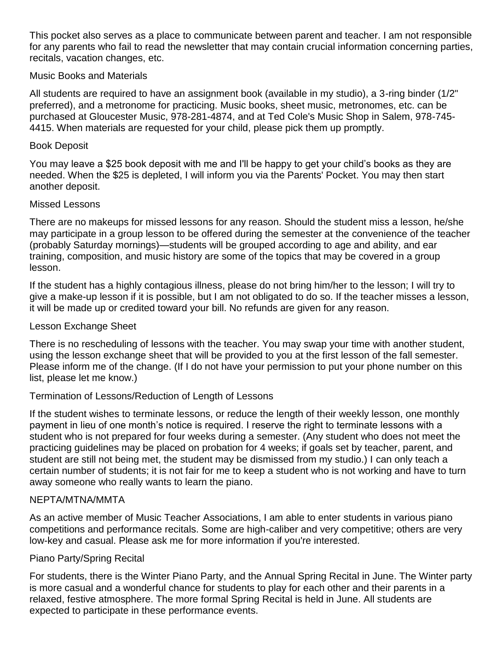This pocket also serves as a place to communicate between parent and teacher. I am not responsible for any parents who fail to read the newsletter that may contain crucial information concerning parties, recitals, vacation changes, etc.

### Music Books and Materials

All students are required to have an assignment book (available in my studio), a 3-ring binder (1/2" preferred), and a metronome for practicing. Music books, sheet music, metronomes, etc. can be purchased at Gloucester Music, 978-281-4874, and at Ted Cole's Music Shop in Salem, 978-745- 4415. When materials are requested for your child, please pick them up promptly.

#### Book Deposit

You may leave a \$25 book deposit with me and I'll be happy to get your child's books as they are needed. When the \$25 is depleted, I will inform you via the Parents' Pocket. You may then start another deposit.

#### Missed Lessons

There are no makeups for missed lessons for any reason. Should the student miss a lesson, he/she may participate in a group lesson to be offered during the semester at the convenience of the teacher (probably Saturday mornings)—students will be grouped according to age and ability, and ear training, composition, and music history are some of the topics that may be covered in a group lesson.

If the student has a highly contagious illness, please do not bring him/her to the lesson; I will try to give a make-up lesson if it is possible, but I am not obligated to do so. If the teacher misses a lesson, it will be made up or credited toward your bill. No refunds are given for any reason.

#### Lesson Exchange Sheet

There is no rescheduling of lessons with the teacher. You may swap your time with another student, using the lesson exchange sheet that will be provided to you at the first lesson of the fall semester. Please inform me of the change. (If I do not have your permission to put your phone number on this list, please let me know.)

### Termination of Lessons/Reduction of Length of Lessons

If the student wishes to terminate lessons, or reduce the length of their weekly lesson, one monthly payment in lieu of one month's notice is required. I reserve the right to terminate lessons with a student who is not prepared for four weeks during a semester. (Any student who does not meet the practicing guidelines may be placed on probation for 4 weeks; if goals set by teacher, parent, and student are still not being met, the student may be dismissed from my studio.) I can only teach a certain number of students; it is not fair for me to keep a student who is not working and have to turn away someone who really wants to learn the piano.

#### NEPTA/MTNA/MMTA

As an active member of Music Teacher Associations, I am able to enter students in various piano competitions and performance recitals. Some are high-caliber and very competitive; others are very low-key and casual. Please ask me for more information if you're interested.

#### Piano Party/Spring Recital

For students, there is the Winter Piano Party, and the Annual Spring Recital in June. The Winter party is more casual and a wonderful chance for students to play for each other and their parents in a relaxed, festive atmosphere. The more formal Spring Recital is held in June. All students are expected to participate in these performance events.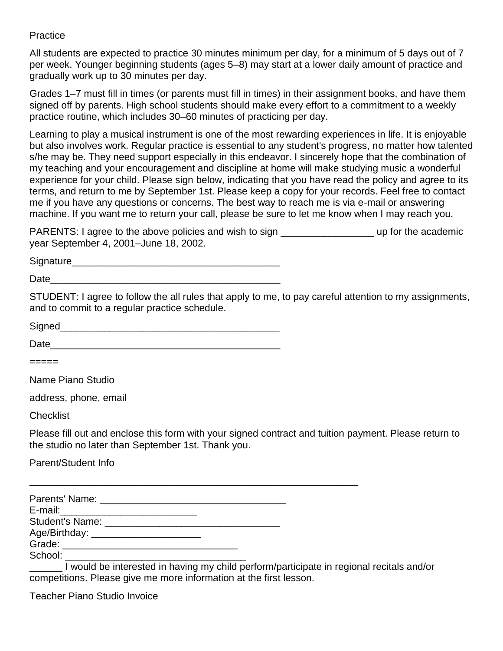Practice

All students are expected to practice 30 minutes minimum per day, for a minimum of 5 days out of 7 per week. Younger beginning students (ages 5–8) may start at a lower daily amount of practice and gradually work up to 30 minutes per day.

Grades 1–7 must fill in times (or parents must fill in times) in their assignment books, and have them signed off by parents. High school students should make every effort to a commitment to a weekly practice routine, which includes 30–60 minutes of practicing per day.

Learning to play a musical instrument is one of the most rewarding experiences in life. It is enjoyable but also involves work. Regular practice is essential to any student's progress, no matter how talented s/he may be. They need support especially in this endeavor. I sincerely hope that the combination of my teaching and your encouragement and discipline at home will make studying music a wonderful experience for your child. Please sign below, indicating that you have read the policy and agree to its terms, and return to me by September 1st. Please keep a copy for your records. Feel free to contact me if you have any questions or concerns. The best way to reach me is via e-mail or answering machine. If you want me to return your call, please be sure to let me know when I may reach you.

PARENTS: I agree to the above policies and wish to sign \_\_\_\_\_\_\_\_\_\_\_\_\_\_\_\_\_\_\_\_\_\_\_\_ up for the academic year September 4, 2001–June 18, 2002.

Signature\_\_\_\_\_\_\_\_\_\_\_\_\_\_\_\_\_\_\_\_\_\_\_\_\_\_\_\_\_\_\_\_\_\_\_\_\_\_

 $Date$   $\Box$ 

STUDENT: I agree to follow the all rules that apply to me, to pay careful attention to my assignments, and to commit to a regular practice schedule.

| <b>Signed</b> |  |  |  |
|---------------|--|--|--|
|               |  |  |  |

| Date |
|------|
|------|

=====

Name Piano Studio

address, phone, email

**Checklist** 

Please fill out and enclose this form with your signed contract and tuition payment. Please return to the studio no later than September 1st. Thank you.

Parent/Student Info

| E-mail: _____________________________  |  |
|----------------------------------------|--|
|                                        |  |
| Age/Birthday: ________________________ |  |
|                                        |  |
| School:                                |  |

\_\_\_\_\_\_\_\_\_\_\_\_\_\_\_\_\_\_\_\_\_\_\_\_\_\_\_\_\_\_\_\_\_\_\_\_\_\_\_\_\_\_\_\_\_\_\_\_\_\_\_\_\_\_\_\_\_\_\_\_

I would be interested in having my child perform/participate in regional recitals and/or competitions. Please give me more information at the first lesson.

Teacher Piano Studio Invoice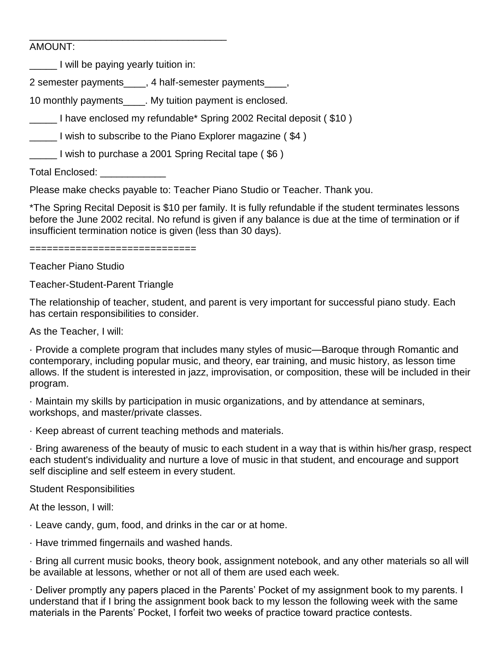### AMOUNT:

I will be paying yearly tuition in:

\_\_\_\_\_\_\_\_\_\_\_\_\_\_\_\_\_\_\_\_\_\_\_\_\_\_\_\_\_\_\_\_\_\_\_\_

2 semester payments\_\_\_\_, 4 half-semester payments\_\_\_\_,

10 monthly payments\_\_\_\_. My tuition payment is enclosed.

I have enclosed my refundable\* Spring 2002 Recital deposit (\$10)

I wish to subscribe to the Piano Explorer magazine (\$4)

\_\_\_\_\_ I wish to purchase a 2001 Spring Recital tape ( \$6 )

Total Enclosed: **We are also also also also also also also** 

Please make checks payable to: Teacher Piano Studio or Teacher. Thank you.

\*The Spring Recital Deposit is \$10 per family. It is fully refundable if the student terminates lessons before the June 2002 recital. No refund is given if any balance is due at the time of termination or if insufficient termination notice is given (less than 30 days).

=============================

Teacher Piano Studio

Teacher-Student-Parent Triangle

The relationship of teacher, student, and parent is very important for successful piano study. Each has certain responsibilities to consider.

As the Teacher, I will:

· Provide a complete program that includes many styles of music—Baroque through Romantic and contemporary, including popular music, and theory, ear training, and music history, as lesson time allows. If the student is interested in jazz, improvisation, or composition, these will be included in their program.

· Maintain my skills by participation in music organizations, and by attendance at seminars, workshops, and master/private classes.

· Keep abreast of current teaching methods and materials.

· Bring awareness of the beauty of music to each student in a way that is within his/her grasp, respect each student's individuality and nurture a love of music in that student, and encourage and support self discipline and self esteem in every student.

Student Responsibilities

At the lesson, I will:

· Leave candy, gum, food, and drinks in the car or at home.

· Have trimmed fingernails and washed hands.

· Bring all current music books, theory book, assignment notebook, and any other materials so all will be available at lessons, whether or not all of them are used each week.

· Deliver promptly any papers placed in the Parents' Pocket of my assignment book to my parents. I understand that if I bring the assignment book back to my lesson the following week with the same materials in the Parents' Pocket, I forfeit two weeks of practice toward practice contests.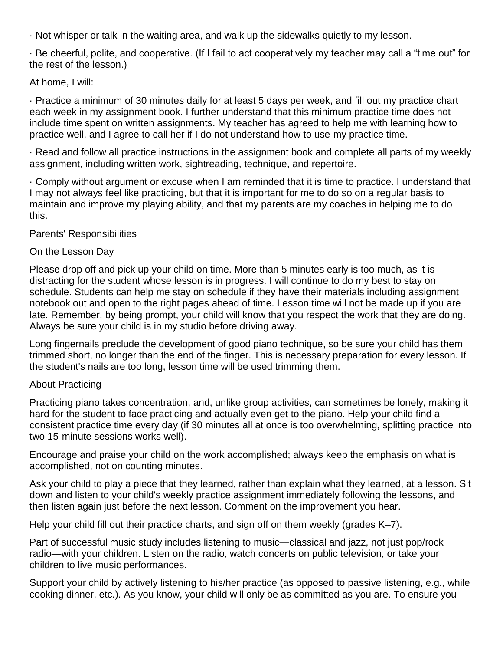· Not whisper or talk in the waiting area, and walk up the sidewalks quietly to my lesson.

· Be cheerful, polite, and cooperative. (If I fail to act cooperatively my teacher may call a "time out" for the rest of the lesson.)

## At home, I will:

· Practice a minimum of 30 minutes daily for at least 5 days per week, and fill out my practice chart each week in my assignment book. I further understand that this minimum practice time does not include time spent on written assignments. My teacher has agreed to help me with learning how to practice well, and I agree to call her if I do not understand how to use my practice time.

· Read and follow all practice instructions in the assignment book and complete all parts of my weekly assignment, including written work, sightreading, technique, and repertoire.

· Comply without argument or excuse when I am reminded that it is time to practice. I understand that I may not always feel like practicing, but that it is important for me to do so on a regular basis to maintain and improve my playing ability, and that my parents are my coaches in helping me to do this.

Parents' Responsibilities

# On the Lesson Day

Please drop off and pick up your child on time. More than 5 minutes early is too much, as it is distracting for the student whose lesson is in progress. I will continue to do my best to stay on schedule. Students can help me stay on schedule if they have their materials including assignment notebook out and open to the right pages ahead of time. Lesson time will not be made up if you are late. Remember, by being prompt, your child will know that you respect the work that they are doing. Always be sure your child is in my studio before driving away.

Long fingernails preclude the development of good piano technique, so be sure your child has them trimmed short, no longer than the end of the finger. This is necessary preparation for every lesson. If the student's nails are too long, lesson time will be used trimming them.

# About Practicing

Practicing piano takes concentration, and, unlike group activities, can sometimes be lonely, making it hard for the student to face practicing and actually even get to the piano. Help your child find a consistent practice time every day (if 30 minutes all at once is too overwhelming, splitting practice into two 15-minute sessions works well).

Encourage and praise your child on the work accomplished; always keep the emphasis on what is accomplished, not on counting minutes.

Ask your child to play a piece that they learned, rather than explain what they learned, at a lesson. Sit down and listen to your child's weekly practice assignment immediately following the lessons, and then listen again just before the next lesson. Comment on the improvement you hear.

Help your child fill out their practice charts, and sign off on them weekly (grades K–7).

Part of successful music study includes listening to music—classical and jazz, not just pop/rock radio—with your children. Listen on the radio, watch concerts on public television, or take your children to live music performances.

Support your child by actively listening to his/her practice (as opposed to passive listening, e.g., while cooking dinner, etc.). As you know, your child will only be as committed as you are. To ensure you